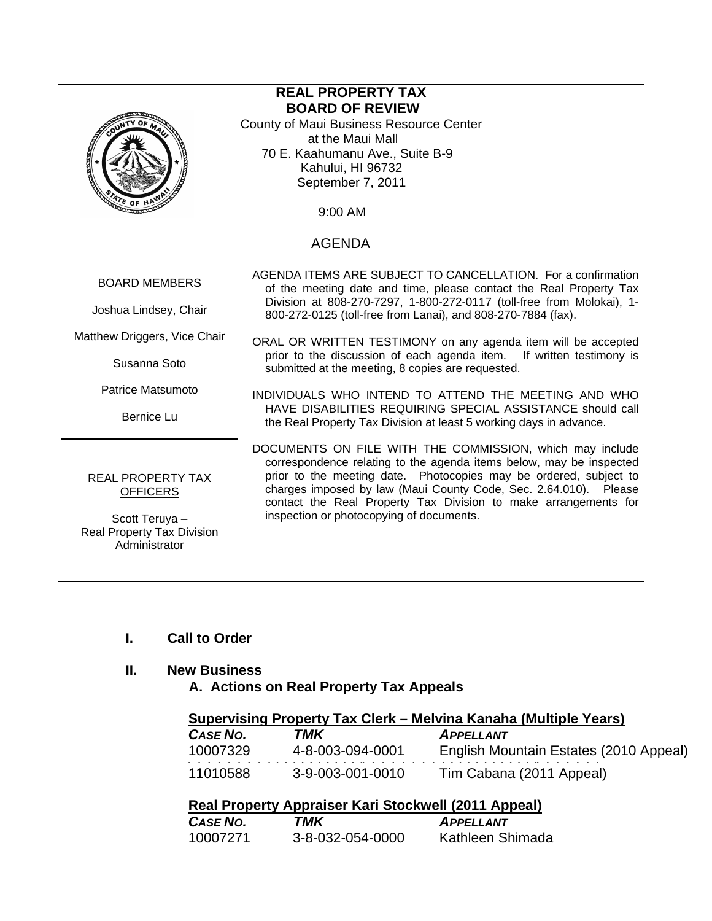| <b>REAL PROPERTY TAX</b>                                                                                     |                                                                                                                                                                                                                                                                                                                                                                                         |  |
|--------------------------------------------------------------------------------------------------------------|-----------------------------------------------------------------------------------------------------------------------------------------------------------------------------------------------------------------------------------------------------------------------------------------------------------------------------------------------------------------------------------------|--|
| <b>BOARD OF REVIEW</b><br>County of Maui Business Resource Center                                            |                                                                                                                                                                                                                                                                                                                                                                                         |  |
| at the Maui Mall                                                                                             |                                                                                                                                                                                                                                                                                                                                                                                         |  |
|                                                                                                              | 70 E. Kaahumanu Ave., Suite B-9                                                                                                                                                                                                                                                                                                                                                         |  |
|                                                                                                              | Kahului, HI 96732                                                                                                                                                                                                                                                                                                                                                                       |  |
|                                                                                                              | September 7, 2011                                                                                                                                                                                                                                                                                                                                                                       |  |
| $\frac{1}{2}$ of H                                                                                           | 9:00 AM                                                                                                                                                                                                                                                                                                                                                                                 |  |
|                                                                                                              | <b>AGENDA</b>                                                                                                                                                                                                                                                                                                                                                                           |  |
| <b>BOARD MEMBERS</b><br>Joshua Lindsey, Chair                                                                | AGENDA ITEMS ARE SUBJECT TO CANCELLATION. For a confirmation<br>of the meeting date and time, please contact the Real Property Tax<br>Division at 808-270-7297, 1-800-272-0117 (toll-free from Molokai), 1-<br>800-272-0125 (toll-free from Lanai), and 808-270-7884 (fax).                                                                                                             |  |
| Matthew Driggers, Vice Chair<br>Susanna Soto                                                                 | ORAL OR WRITTEN TESTIMONY on any agenda item will be accepted<br>prior to the discussion of each agenda item. If written testimony is<br>submitted at the meeting, 8 copies are requested.                                                                                                                                                                                              |  |
| Patrice Matsumoto                                                                                            | INDIVIDUALS WHO INTEND TO ATTEND THE MEETING AND WHO                                                                                                                                                                                                                                                                                                                                    |  |
| <b>Bernice Lu</b>                                                                                            | HAVE DISABILITIES REQUIRING SPECIAL ASSISTANCE should call<br>the Real Property Tax Division at least 5 working days in advance.                                                                                                                                                                                                                                                        |  |
| REAL PROPERTY TAX<br><b>OFFICERS</b><br>Scott Teruya -<br><b>Real Property Tax Division</b><br>Administrator | DOCUMENTS ON FILE WITH THE COMMISSION, which may include<br>correspondence relating to the agenda items below, may be inspected<br>prior to the meeting date. Photocopies may be ordered, subject to<br>charges imposed by law (Maui County Code, Sec. 2.64.010). Please<br>contact the Real Property Tax Division to make arrangements for<br>inspection or photocopying of documents. |  |

# **I. Call to Order**

## **II. New Business**

 **A. Actions on Real Property Tax Appeals** 

| Supervising Property Tax Clerk – Melvina Kanaha (Multiple Years) |                  |                                        |  |
|------------------------------------------------------------------|------------------|----------------------------------------|--|
| CASE NO.                                                         | TMK              | <b>APPELLANT</b>                       |  |
| 10007329                                                         | 4-8-003-094-0001 | English Mountain Estates (2010 Appeal) |  |
| 11010588                                                         | 3-9-003-001-0010 | Tim Cabana (2011 Appeal)               |  |

| CASE NO. | TMK              | <b>APPELLANT</b> |
|----------|------------------|------------------|
| 10007271 | 3-8-032-054-0000 | Kathleen Shimada |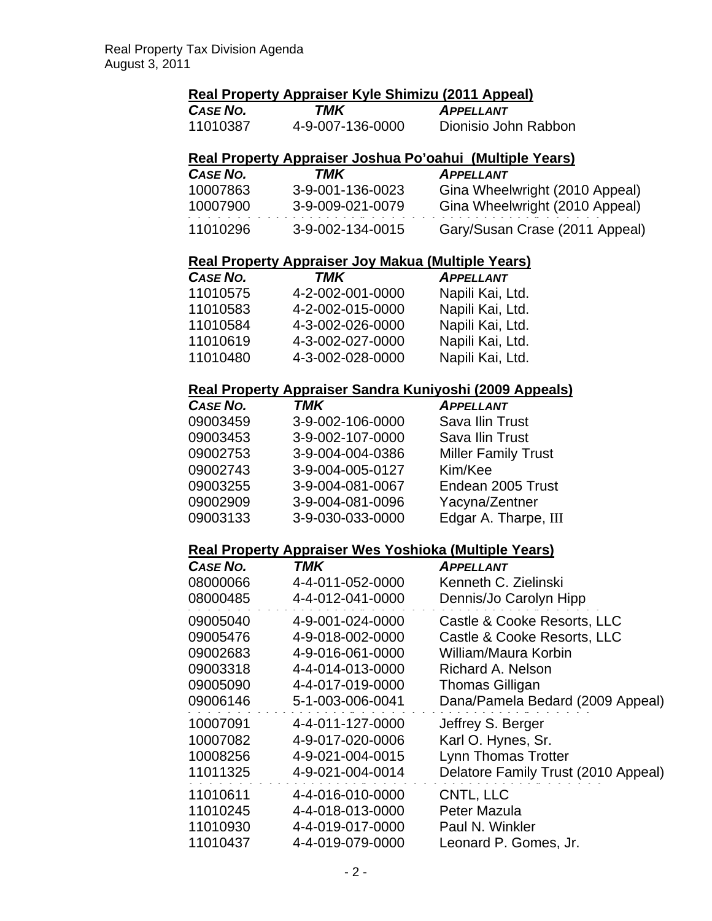## **Real Property Appraiser Kyle Shimizu (2011 Appeal)**

| CASE NO. | TMK              | <b>APPELLANT</b>     |
|----------|------------------|----------------------|
| 11010387 | 4-9-007-136-0000 | Dionisio John Rabbon |

## **Real Property Appraiser Joshua Po'oahui (Multiple Years)**

| CASE NO. | TMK              | <b>APPELLANT</b>               |
|----------|------------------|--------------------------------|
| 10007863 | 3-9-001-136-0023 | Gina Wheelwright (2010 Appeal) |
| 10007900 | 3-9-009-021-0079 | Gina Wheelwright (2010 Appeal) |
| 11010296 | 3-9-002-134-0015 | Gary/Susan Crase (2011 Appeal) |

#### **Real Property Appraiser Joy Makua (Multiple Years)**

| CASE NO. | TMK              | <b>APPELLANT</b> |
|----------|------------------|------------------|
| 11010575 | 4-2-002-001-0000 | Napili Kai, Ltd. |
| 11010583 | 4-2-002-015-0000 | Napili Kai, Ltd. |
| 11010584 | 4-3-002-026-0000 | Napili Kai, Ltd. |
| 11010619 | 4-3-002-027-0000 | Napili Kai, Ltd. |
| 11010480 | 4-3-002-028-0000 | Napili Kai, Ltd. |

#### **Real Property Appraiser Sandra Kuniyoshi (2009 Appeals)**

| CASE NO. | <b>TMK</b>       | <b>APPELLANT</b>           |
|----------|------------------|----------------------------|
| 09003459 | 3-9-002-106-0000 | Sava Ilin Trust            |
| 09003453 | 3-9-002-107-0000 | Sava Ilin Trust            |
| 09002753 | 3-9-004-004-0386 | <b>Miller Family Trust</b> |
| 09002743 | 3-9-004-005-0127 | Kim/Kee                    |
| 09003255 | 3-9-004-081-0067 | Endean 2005 Trust          |
| 09002909 | 3-9-004-081-0096 | Yacyna/Zentner             |
| 09003133 | 3-9-030-033-0000 | Edgar A. Tharpe, III       |

## **Real Property Appraiser Wes Yoshioka (Multiple Years)**

|                  | <b>APPELLANT</b>                                   |
|------------------|----------------------------------------------------|
|                  | Kenneth C. Zielinski                               |
|                  | Dennis/Jo Carolyn Hipp                             |
| 4-9-001-024-0000 | Castle & Cooke Resorts, LLC                        |
| 4-9-018-002-0000 | Castle & Cooke Resorts, LLC                        |
| 4-9-016-061-0000 | William/Maura Korbin                               |
| 4-4-014-013-0000 | Richard A. Nelson                                  |
| 4-4-017-019-0000 | Thomas Gilligan                                    |
| 5-1-003-006-0041 | Dana/Pamela Bedard (2009 Appeal)                   |
| 4-4-011-127-0000 | Jeffrey S. Berger                                  |
| 4-9-017-020-0006 | Karl O. Hynes, Sr.                                 |
| 4-9-021-004-0015 | <b>Lynn Thomas Trotter</b>                         |
| 4-9-021-004-0014 | Delatore Family Trust (2010 Appeal)                |
| 4-4-016-010-0000 | CNTL, LLC                                          |
| 4-4-018-013-0000 | Peter Mazula                                       |
| 4-4-019-017-0000 | Paul N. Winkler                                    |
| 4-4-019-079-0000 | Leonard P. Gomes, Jr.                              |
|                  | <b>TMK</b><br>4-4-011-052-0000<br>4-4-012-041-0000 |